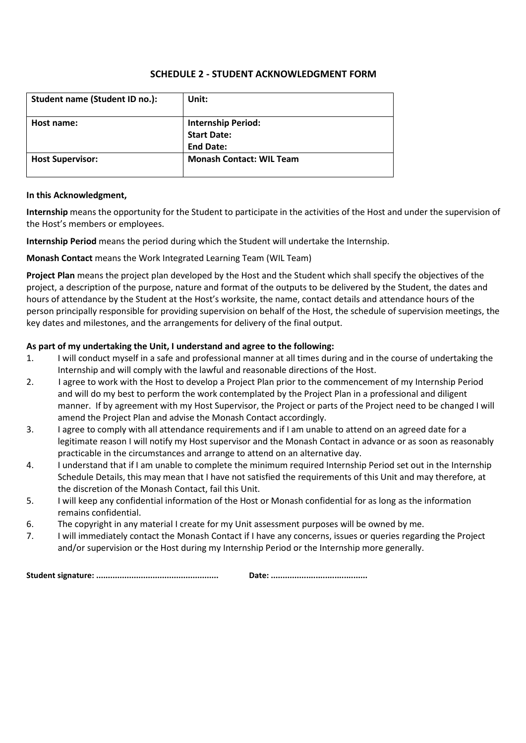# **SCHEDULE 2 - STUDENT ACKNOWLEDGMENT FORM**

| Student name (Student ID no.): | Unit:                                                               |  |
|--------------------------------|---------------------------------------------------------------------|--|
| Host name:                     | <b>Internship Period:</b><br><b>Start Date:</b><br><b>End Date:</b> |  |
| <b>Host Supervisor:</b>        | <b>Monash Contact: WIL Team</b>                                     |  |

#### **In this Acknowledgment,**

**Internship** means the opportunity for the Student to participate in the activities of the Host and under the supervision of the Host's members or employees.

**Internship Period** means the period during which the Student will undertake the Internship.

**Monash Contact** means the Work Integrated Learning Team (WIL Team)

**Project Plan** means the project plan developed by the Host and the Student which shall specify the objectives of the project, a description of the purpose, nature and format of the outputs to be delivered by the Student, the dates and hours of attendance by the Student at the Host's worksite, the name, contact details and attendance hours of the person principally responsible for providing supervision on behalf of the Host, the schedule of supervision meetings, the key dates and milestones, and the arrangements for delivery of the final output.

# **As part of my undertaking the Unit, I understand and agree to the following:**

- 1. I will conduct myself in a safe and professional manner at all times during and in the course of undertaking the Internship and will comply with the lawful and reasonable directions of the Host.
- 2. I agree to work with the Host to develop a Project Plan prior to the commencement of my Internship Period and will do my best to perform the work contemplated by the Project Plan in a professional and diligent manner. If by agreement with my Host Supervisor, the Project or parts of the Project need to be changed I will amend the Project Plan and advise the Monash Contact accordingly.
- 3. I agree to comply with all attendance requirements and if I am unable to attend on an agreed date for a legitimate reason I will notify my Host supervisor and the Monash Contact in advance or as soon as reasonably practicable in the circumstances and arrange to attend on an alternative day.
- 4. I understand that if I am unable to complete the minimum required Internship Period set out in the Internship Schedule Details, this may mean that I have not satisfied the requirements of this Unit and may therefore, at the discretion of the Monash Contact, fail this Unit.
- 5. I will keep any confidential information of the Host or Monash confidential for as long as the information remains confidential.
- 6. The copyright in any material I create for my Unit assessment purposes will be owned by me.
- 7. I will immediately contact the Monash Contact if I have any concerns, issues or queries regarding the Project and/or supervision or the Host during my Internship Period or the Internship more generally.

**Student signature: .................................................... Date: .........................................**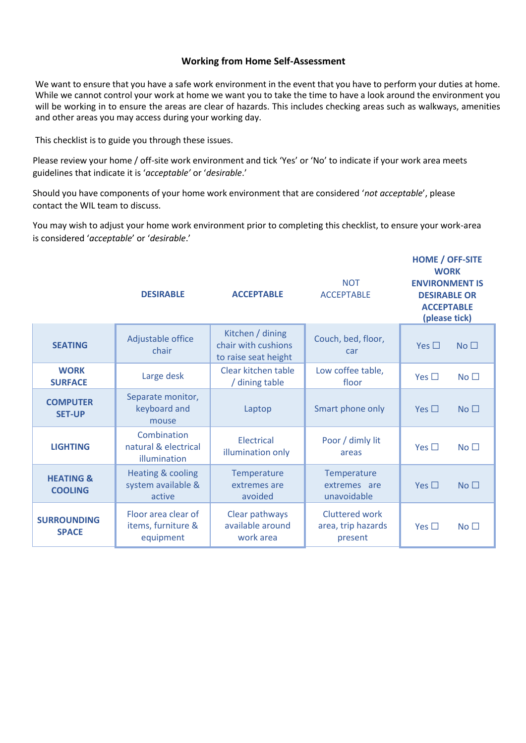# **Working from Home Self-Assessment**

We want to ensure that you have a safe work environment in the event that you have to perform your duties at home. While we cannot control your work at home we want you to take the time to have a look around the environment you will be working in to ensure the areas are clear of hazards. This includes checking areas such as walkways, amenities and other areas you may access during your working day.

This checklist is to guide you through these issues.

Please review your home / off-site work environment and tick 'Yes' or 'No' to indicate if your work area meets guidelines that indicate it is '*acceptable'* or '*desirable*.'

Should you have components of your home work environment that are considered '*not acceptable*', please contact the WIL team to discuss.

You may wish to adjust your home work environment prior to completing this checklist, to ensure your work-area is considered '*acceptable*' or '*desirable*.'

|                                        | <b>DESIRABLE</b>                                             | <b>ACCEPTABLE</b>                                               | <b>NOT</b><br><b>ACCEPTABLE</b>                        | <b>HOME / OFF-SITE</b><br><b>WORK</b><br><b>ENVIRONMENT IS</b><br><b>DESIRABLE OR</b><br><b>ACCEPTABLE</b><br>(please tick) |
|----------------------------------------|--------------------------------------------------------------|-----------------------------------------------------------------|--------------------------------------------------------|-----------------------------------------------------------------------------------------------------------------------------|
| <b>SEATING</b>                         | Adjustable office<br>chair                                   | Kitchen / dining<br>chair with cushions<br>to raise seat height | Couch, bed, floor,<br>car                              | No <sub>1</sub><br>Yes $\Box$                                                                                               |
| <b>WORK</b><br><b>SURFACE</b>          | Large desk                                                   | Clear kitchen table<br>/ dining table                           | Low coffee table,<br>floor                             | No <sub>1</sub><br>Yes $\Box$                                                                                               |
| <b>COMPUTER</b><br><b>SET-UP</b>       | Separate monitor,<br>keyboard and<br>mouse                   | Laptop                                                          | Smart phone only                                       | No <sub>1</sub><br>Yes $\Box$                                                                                               |
| <b>LIGHTING</b>                        | Combination<br>natural & electrical<br>illumination          | Electrical<br>illumination only                                 | Poor / dimly lit<br>areas                              | Yes $\Box$<br>No <sub>1</sub>                                                                                               |
| <b>HEATING &amp;</b><br><b>COOLING</b> | <b>Heating &amp; cooling</b><br>system available &<br>active | Temperature<br>extremes are<br>avoided                          | Temperature<br>extremes are<br>unavoidable             | No <sub>1</sub><br>Yes $\Box$                                                                                               |
| <b>SURROUNDING</b><br><b>SPACE</b>     | Floor area clear of<br>items, furniture &<br>equipment       | Clear pathways<br>available around<br>work area                 | <b>Cluttered work</b><br>area, trip hazards<br>present | No <sub>1</sub><br>Yes $\Box$                                                                                               |